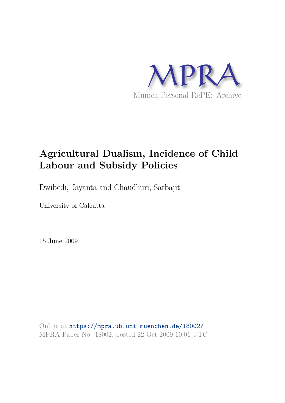

# **Agricultural Dualism, Incidence of Child Labour and Subsidy Policies**

Dwibedi, Jayanta and Chaudhuri, Sarbajit

University of Calcutta

15 June 2009

Online at https://mpra.ub.uni-muenchen.de/18002/ MPRA Paper No. 18002, posted 22 Oct 2009 10:01 UTC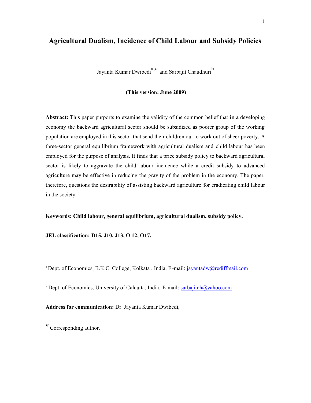# **Agricultural Dualism, Incidence of Child Labour and Subsidy Policies**

Jayanta Kumar Dwibedi**a,ψ** and Sarbajit Chaudhuri**<sup>b</sup>**

 **(This version: June 2009)** 

**Abstract:** This paper purports to examine the validity of the common belief that in a developing economy the backward agricultural sector should be subsidized as poorer group of the working population are employed in this sector that send their children out to work out of sheer poverty. A three-sector general equilibrium framework with agricultural dualism and child labour has been employed for the purpose of analysis. It finds that a price subsidy policy to backward agricultural sector is likely to aggravate the child labour incidence while a credit subsidy to advanced agriculture may be effective in reducing the gravity of the problem in the economy. The paper, therefore, questions the desirability of assisting backward agriculture for eradicating child labour in the society.

**Keywords: Child labour, general equilibrium, agricultural dualism, subsidy policy.** 

**JEL classification: D15, J10, J13, O 12, O17.** 

<sup>a</sup> Dept. of Economics, B.K.C. College, Kolkata, India. E-mail: *jayantadw@rediffmail.com* 

<sup>b</sup> Dept. of Economics, University of Calcutta, India. E-mail: sarbajitch@yahoo.com

**Address for communication:** Dr. Jayanta Kumar Dwibedi,

**<sup>ψ</sup>**Corresponding author.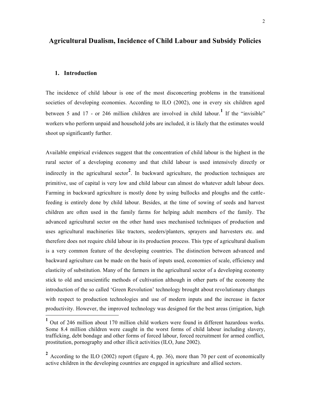# **Agricultural Dualism, Incidence of Child Labour and Subsidy Policies**

## **1. Introduction**

 $\overline{a}$ 

The incidence of child labour is one of the most disconcerting problems in the transitional societies of developing economies. According to ILO (2002), one in every six children aged between 5 and 17 - or 246 million children are involved in child labour.<sup>1</sup> If the "invisible" workers who perform unpaid and household jobs are included, it is likely that the estimates would shoot up significantly further.

Available empirical evidences suggest that the concentration of child labour is the highest in the rural sector of a developing economy and that child labour is used intensively directly or indirectly in the agricultural sector**<sup>2</sup>** . In backward agriculture, the production techniques are primitive, use of capital is very low and child labour can almost do whatever adult labour does. Farming in backward agriculture is mostly done by using bullocks and ploughs and the cattlefeeding is entirely done by child labour. Besides, at the time of sowing of seeds and harvest children are often used in the family farms for helping adult members of the family. The advanced agricultural sector on the other hand uses mechanised techniques of production and uses agricultural machineries like tractors, seeders/planters, sprayers and harvesters etc. and therefore does not require child labour in its production process. This type of agricultural dualism is a very common feature of the developing countries. The distinction between advanced and backward agriculture can be made on the basis of inputs used, economies of scale, efficiency and elasticity of substitution. Many of the farmers in the agricultural sector of a developing economy stick to old and unscientific methods of cultivation although in other parts of the economy the introduction of the so called 'Green Revolution' technology brought about revolutionary changes with respect to production technologies and use of modern inputs and the increase in factor productivity. However, the improved technology was designed for the best areas (irrigation, high

**<sup>1</sup>** Out of 246 million about 170 million child workers were found in different hazardous works. Some 8.4 million children were caught in the worst forms of child labour including slavery, trafficking, debt bondage and other forms of forced labour, forced recruitment for armed conflict, prostitution, pornography and other illicit activities (ILO, June 2002).

<sup>&</sup>lt;sup>2</sup> According to the ILO (2002) report (figure 4, pp. 36), more than 70 per cent of economically active children in the developing countries are engaged in agriculture and allied sectors.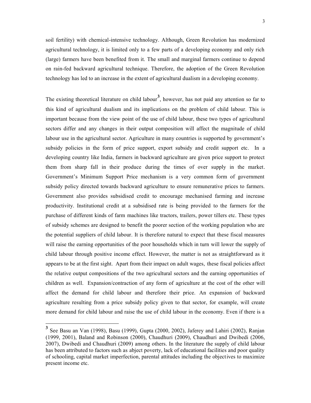soil fertility) with chemical-intensive technology. Although, Green Revolution has modernized agricultural technology, it is limited only to a few parts of a developing economy and only rich (large) farmers have been benefited from it. The small and marginal farmers continue to depend on rain-fed backward agricultural technique. Therefore, the adoption of the Green Revolution technology has led to an increase in the extent of agricultural dualism in a developing economy.

The existing theoretical literature on child labour<sup>3</sup>, however, has not paid any attention so far to this kind of agricultural dualism and its implications on the problem of child labour. This is important because from the view point of the use of child labour, these two types of agricultural sectors differ and any changes in their output composition will affect the magnitude of child labour use in the agricultural sector. Agriculture in many countries is supported by government's subsidy policies in the form of price support, export subsidy and credit support etc. In a developing country like India, farmers in backward agriculture are given price support to protect them from sharp fall in their produce during the times of over supply in the market. Government's Minimum Support Price mechanism is a very common form of government subsidy policy directed towards backward agriculture to ensure remunerative prices to farmers. Government also provides subsidised credit to encourage mechanised farming and increase productivity. Institutional credit at a subsidised rate is being provided to the farmers for the purchase of different kinds of farm machines like tractors, trailers, power tillers etc. These types of subsidy schemes are designed to benefit the poorer section of the working population who are the potential suppliers of child labour. It is therefore natural to expect that these fiscal measures will raise the earning opportunities of the poor households which in turn will lower the supply of child labour through positive income effect. However, the matter is not as straightforward as it appears to be at the first sight. Apart from their impact on adult wages, these fiscal policies affect the relative output compositions of the two agricultural sectors and the earning opportunities of children as well. Expansion/contraction of any form of agriculture at the cost of the other will affect the demand for child labour and therefore their price. An expansion of backward agriculture resulting from a price subsidy policy given to that sector, for example, will create more demand for child labour and raise the use of child labour in the economy. Even if there is a

**<sup>3</sup>** See Basu an Van (1998), Basu (1999), Gupta (2000, 2002), Jaferey and Lahiri (2002), Ranjan (1999, 2001), Baland and Robinson (2000), Chaudhuri (2009), Chaudhuri and Dwibedi (2006, 2007), Dwibedi and Chaudhuri (2009) among others. In the literature the supply of child labour has been attributed to factors such as abject poverty, lack of educational facilities and poor quality of schooling, capital market imperfection, parental attitudes including the objectives to maximize present income etc.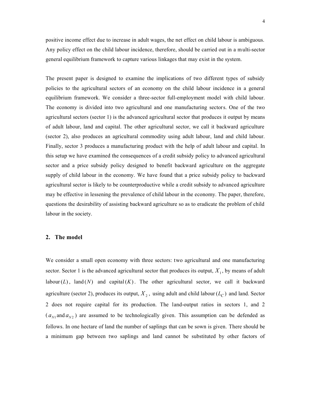positive income effect due to increase in adult wages, the net effect on child labour is ambiguous. Any policy effect on the child labour incidence, therefore, should be carried out in a multi-sector general equilibrium framework to capture various linkages that may exist in the system.

The present paper is designed to examine the implications of two different types of subsidy policies to the agricultural sectors of an economy on the child labour incidence in a general equilibrium framework. We consider a three-sector full-employment model with child labour. The economy is divided into two agricultural and one manufacturing sectors. One of the two agricultural sectors (sector 1) is the advanced agricultural sector that produces it output by means of adult labour, land and capital. The other agricultural sector, we call it backward agriculture (sector 2), also produces an agricultural commodity using adult labour, land and child labour. Finally, sector 3 produces a manufacturing product with the help of adult labour and capital. In this setup we have examined the consequences of a credit subsidy policy to advanced agricultural sector and a price subsidy policy designed to benefit backward agriculture on the aggregate supply of child labour in the economy. We have found that a price subsidy policy to backward agricultural sector is likely to be counterproductive while a credit subsidy to advanced agriculture may be effective in lessening the prevalence of child labour in the economy. The paper, therefore, questions the desirability of assisting backward agriculture so as to eradicate the problem of child labour in the society.

#### **2. The model**

We consider a small open economy with three sectors: two agricultural and one manufacturing sector. Sector 1 is the advanced agricultural sector that produces its output,  $X_1$ , by means of adult labour( $L$ ), land( $N$ ) and capital( $K$ ). The other agricultural sector, we call it backward agriculture (sector 2), produces its output,  $X_2$ , using adult and child labour  $(L_C)$  and land. Sector 2 does not require capital for its production. The land-output ratios in sectors 1, and 2  $(a_{N1}$  and  $a_{N2}$ ) are assumed to be technologically given. This assumption can be defended as follows. In one hectare of land the number of saplings that can be sown is given. There should be a minimum gap between two saplings and land cannot be substituted by other factors of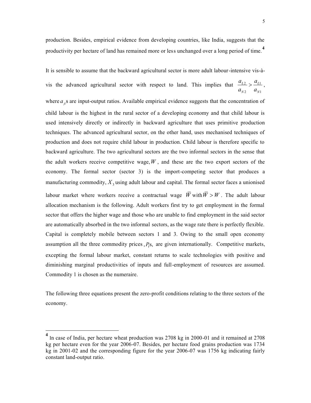5

production. Besides, empirical evidence from developing countries, like India, suggests that the productivity per hectare of land has remained more or less unchanged over a long period of time.**<sup>4</sup>**

It is sensible to assume that the backward agricultural sector is more adult labour-intensive vis-àvis the advanced agricultural sector with respect to land. This implies that  $\frac{u_{L2}}{2} > \frac{u_{L1}}{2}$ 2  $u_{N1}$  $L2 \sim \frac{u_L}{u}$  $N2 \qquad u_N$  $a_{L2}$  *a*  $a_{N2}$  *a*  $>\frac{u_{L1}}{u_{L2}}$ , where  $a<sub>n</sub>$  s are input-output ratios. Available empirical evidence suggests that the concentration of child labour is the highest in the rural sector of a developing economy and that child labour is used intensively directly or indirectly in backward agriculture that uses primitive production techniques. The advanced agricultural sector, on the other hand, uses mechanised techniques of production and does not require child labour in production. Child labour is therefore specific to backward agriculture. The two agricultural sectors are the two informal sectors in the sense that the adult workers receive competitive wage,  $W$ , and these are the two export sectors of the economy. The formal sector (sector 3) is the import-competing sector that produces a manufacturing commodity,  $X_3$  using adult labour and capital. The formal sector faces a unionised labour market where workers receive a contractual wage  $\overline{W}$  with  $\overline{W} > W$ . The adult labour allocation mechanism is the following. Adult workers first try to get employment in the formal sector that offers the higher wage and those who are unable to find employment in the said sector are automatically absorbed in the two informal sectors, as the wage rate there is perfectly flexible. Capital is completely mobile between sectors 1 and 3. Owing to the small open economy assumption all the three commodity prices  $P_i$ s, are given internationally. Competitive markets, excepting the formal labour market, constant returns to scale technologies with positive and diminishing marginal productivities of inputs and full-employment of resources are assumed. Commodity 1 is chosen as the numeraire.

The following three equations present the zero-profit conditions relating to the three sectors of the economy.

<sup>&</sup>lt;sup>4</sup> In case of India, per hectare wheat production was 2708 kg in 2000-01 and it remained at 2708 kg per hectare even for the year 2006-07. Besides, per hectare food grains production was 1734 kg in 2001-02 and the corresponding figure for the year 2006-07 was 1756 kg indicating fairly constant land-output ratio.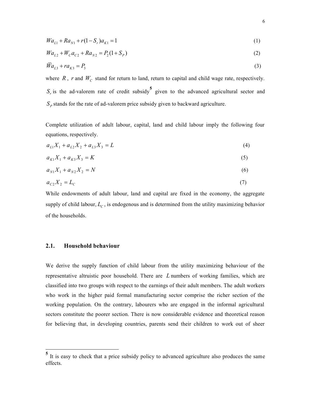$$
Wa_{L1} + Ra_{N1} + r(1 - S_r)a_{K1} = 1
$$
\n(1)

$$
Wa_{L2} + W_C a_{C2} + Ra_{N2} = P_2(1 + S_P)
$$
\n(2)

$$
\bar{W}a_{L3} + ra_{K3} = P_3 \tag{3}
$$

where  $R$ ,  $r$  and  $W_c$  stand for return to land, return to capital and child wage rate, respectively.  $S_r$  is the ad-valorem rate of credit subsidy<sup>5</sup> given to the advanced agricultural sector and  $S_p$  stands for the rate of ad-valorem price subsidy given to backward agriculture.

Complete utilization of adult labour, capital, land and child labour imply the following four equations, respectively.

$$
a_{L1}X_1 + a_{L2}X_2 + a_{L3}X_3 = L \tag{4}
$$

$$
a_{K1}X_1 + a_{K3}X_3 = K \tag{5}
$$

$$
a_{N1}X_1 + a_{N2}X_2 = N \tag{6}
$$

$$
a_{C2}X_2 = L_C \tag{7}
$$

While endowments of adult labour, land and capital are fixed in the economy, the aggregate supply of child labour,  $L_c$ , is endogenous and is determined from the utility maximizing behavior of the households.

## **2.1. Household behaviour**

 $\overline{a}$ 

We derive the supply function of child labour from the utility maximizing behaviour of the representative altruistic poor household. There are *L* numbers of working families, which are classified into two groups with respect to the earnings of their adult members. The adult workers who work in the higher paid formal manufacturing sector comprise the richer section of the working population. On the contrary, labourers who are engaged in the informal agricultural sectors constitute the poorer section. There is now considerable evidence and theoretical reason for believing that, in developing countries, parents send their children to work out of sheer

**<sup>5</sup>** It is easy to check that a price subsidy policy to advanced agriculture also produces the same effects.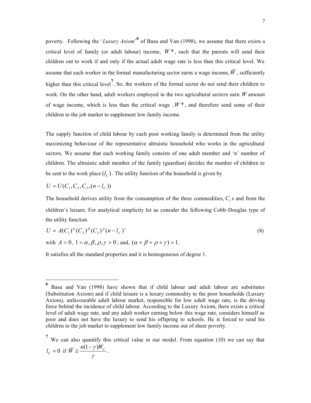poverty. Following the '*Luxury Axiom*' of Basu and Van (1998), we assume that there exists a critical level of family (or adult labour) income,  $W^*$ , such that the parents will send their children out to work if and only if the actual adult wage rate is less than this critical level. We assume that each worker in the formal manufacturing sector earns a wage income,  $\overline{W}$ , sufficiently higher than this critical level**<sup>7</sup>** . So, the workers of the formal sector do not send their children to work. On the other hand, adult workers employed in the two agricultural sectors earn *W* amount of wage income, which is less than the critical wage,  $W^*$ , and therefore send some of their children to the job market to supplement low family income.

The supply function of child labour by each poor working family is determined from the utility maximizing behaviour of the representative altruistic household who works in the agricultural sectors. We assume that each working family consists of one adult member and 'n' number of children. The altruistic adult member of the family (guardian) decides the number of children to be sent to the work place  $(l_C)$ . The utility function of the household is given by

$$
U = U(C_1, C_2, C_3, (n - l_C))
$$

 $\overline{a}$ 

The household derives utility from the consumption of the three commodities,  $C_i$  s and from the children's leisure. For analytical simplicity let us consider the following Cobb-Douglas type of the utility function.

$$
U = A(C_1)^{\alpha} (C_2)^{\beta} (C_3)^{\rho} (n - l_C)^{\gamma}
$$
  
with  $A > 0$ ,  $1 > \alpha$ ,  $\beta$ ,  $\rho$ ,  $\gamma > 0$ ; and,  $(\alpha + \beta + \rho + \gamma) = 1$ . (8)

It satisfies all the standard properties and it is homogeneous of degree 1.

**<sup>6</sup>** Basu and Van (1998) have shown that if child labour and adult labour are substitutes (Substitution Axiom) and if child leisure is a luxury commodity to the poor households (Luxury Axiom), unfavourable adult labour market, responsible for low adult wage rate, is the driving force behind the incidence of child labour. According to the Luxury Axiom, there exists a critical level of adult wage rate, and any adult worker earning below this wage rate, considers himself as poor and does not have the luxury to send his offspring to schools. He is forced to send his children to the job market to supplement low family income out of sheer poverty.

<sup>&</sup>lt;sup>7</sup> We can also quantify this critical value in our model. From equation (10) we can say that  $l_c = 0$  if  $\overline{W} \ge \frac{n(1-\gamma)W_c}{N}$ γ  $\geq \frac{n(1-\gamma)W_C}{\gamma}$ .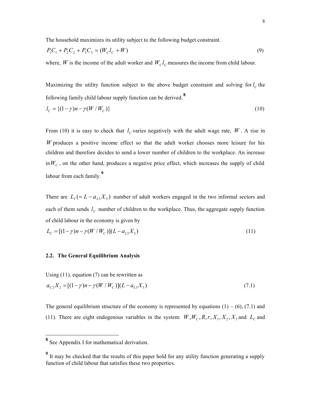The household maximizes its utility subject to the following budget constraint.

$$
P_1C_1 + P_2C_2 + P_3C_3 = (W_C l_C + W)
$$
\n(9)

where, *W* is the income of the adult worker and  $W<sub>C</sub>l<sub>C</sub>$  measures the income from child labour.

Maximizing the utility function subject to the above budget constraint and solving for  $l_c$  the following family child labour supply function can be derived. **<sup>8</sup>**

$$
l_C = \{(1 - \gamma)n - \gamma(W/W_C)\}\tag{10}
$$

From (10) it is easy to check that  $l_c$  varies negatively with the adult wage rate, W. A rise in *W* produces a positive income effect so that the adult worker chooses more leisure for his children and therefore decides to send a lower number of children to the workplace. An increase  $\lim_{C} W_C$ , on the other hand, produces a negative price effect, which increases the supply of child labour from each family.**<sup>9</sup>**

There are  $L_1 (= L - a_{L3}X_3)$  number of adult workers engaged in the two informal sectors and each of them sends  $l_c$  number of children to the workplace. Thus, the aggregate supply function of child labour in the economy is given by

$$
L_C = [(1 - \gamma)n - \gamma(W/W_C)](L - a_{L3}X_3)
$$
\n(11)

# **2.2. The General Equilibrium Analysis**

Using  $(11)$ , equation  $(7)$  can be rewritten as

$$
a_{C2}X_2 = [(1-\gamma)n - \gamma(W/W_C)](L - a_{L3}X_3)
$$
\n(7.1)

The general equilibrium structure of the economy is represented by equations  $(1) - (6)$ ,  $(7.1)$  and (11). There are eight endogenous variables in the system:  $W, W_c, R, r, X_1, X_2, X_3$  and  $L_c$  and

**<sup>8</sup>** See Appendix I for mathematical derivation.

<sup>&</sup>lt;sup>9</sup> It may be checked that the results of this paper hold for any utility function generating a supply function of child labour that satisfies these two properties.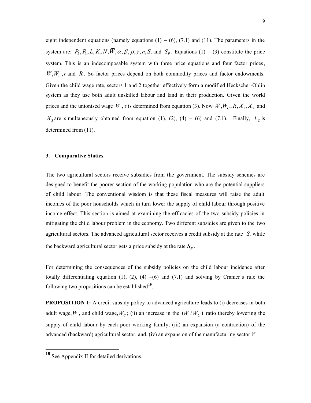eight independent equations (namely equations  $(1) - (6)$ ,  $(7.1)$  and  $(11)$ . The parameters in the system are:  $P_2$ ,  $P_3$ ,  $L$ ,  $K$ ,  $N$ ,  $\overline{W}$ ,  $\alpha$ ,  $\beta$ ,  $\rho$ ,  $\gamma$ ,  $n$ ,  $S_r$  and  $S_p$ . Equations (1) – (3) constitute the price system. This is an indecomposable system with three price equations and four factor prices,  $W, W_c, r$  and  $R$ . So factor prices depend on both commodity prices and factor endowments. Given the child wage rate, sectors 1 and 2 together effectively form a modified Heckscher-Ohlin system as they use both adult unskilled labour and land in their production. Given the world prices and the unionised wage *W*, r is determined from equation (3). Now  $W, W_c, R, X_1, X_2$  and  $X_3$  are simultaneously obtained from equation (1), (2), (4) – (6) and (7.1). Finally,  $L_C$  is determined from (11).

#### **3. Comparative Statics**

The two agricultural sectors receive subsidies from the government. The subsidy schemes are designed to benefit the poorer section of the working population who are the potential suppliers of child labour. The conventional wisdom is that these fiscal measures will raise the adult incomes of the poor households which in turn lower the supply of child labour through positive income effect. This section is aimed at examining the efficacies of the two subsidy policies in mitigating the child labour problem in the economy. Two different subsidies are given to the two agricultural sectors. The advanced agricultural sector receives a credit subsidy at the rate  $S_r$  while the backward agricultural sector gets a price subsidy at the rate  $S_p$ .

For determining the consequences of the subsidy policies on the child labour incidence after totally differentiating equation (1), (2), (4) –(6) and (7.1) and solving by Cramer's rule the following two propositions can be established**<sup>10</sup>** .

**PROPOSITION 1:** A credit subsidy policy to advanced agriculture leads to (i) decreases in both adult wage, W, and child wage,  $W_c$ ; (ii) an increase in the  $(W/W_c)$  ratio thereby lowering the supply of child labour by each poor working family; (iii) an expansion (a contraction) of the advanced (backward) agricultural sector; and, (iv) an expansion of the manufacturing sector if

**<sup>10</sup>** See Appendix II for detailed derivations.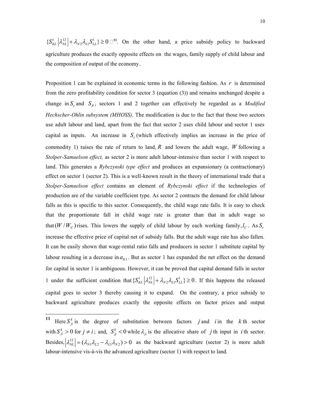$\{S_{KL}^1 | \lambda_{NL}^{12} | + \lambda_{N2} \lambda_{L1} S_{LL}^1\} \ge 0$  <sup>11</sup>. On the other hand, a price subsidy policy to backward agriculture produces the exactly opposite effects on the wages, family supply of child labour and the composition of output of the economy.

Proposition 1 can be explained in economic terms in the following fashion. As *r* is determined from the zero profitability condition for sector 3 (equation (3)) and remains unchanged despite a change in  $S_r$  and  $S_p$ , sectors 1 and 2 together can effectively be regarded as a *Modified Hechscher-Ohlin subsystem (MHOSS)*. The modification is due to the fact that those two sectors use adult labour and land, apart from the fact that sector 2 uses child labour and sector 1 uses capital as inputs. An increase in  $S<sub>r</sub>$  (which effectively implies an increase in the price of commodity 1) raises the rate of return to land, *R* and lowers the adult wage, *W* following a *Stolper-Samuelson effect,* as sector 2 is more adult labour-intensive than sector 1 with respect to land. This generates a *Rybczynski type effect* and produces an expansionary (a contractionary) effect on sector 1 (sector 2). This is a well-known result in the theory of international trade that a *Stolper-Samuelson effect* contains an element of *Rybczynski effect* if the technologies of production are of the variable coefficient type. As sector 2 contracts the demand for child labour falls as this is specific to this sector. Consequently, the child wage rate falls. It is easy to check that the proportionate fall in child wage rate is greater than that in adult wage so that  $(W / W_c)$  rises. This lowers the supply of child labour by each working family,  $l_c$ . As  $S_r$ increase the effective price of capital net of subsidy falls. But the adult wage rate has also fallen. It can be easily shown that wage-rental ratio falls and producers in sector 1 substitute capital by labour resulting in a decrease in  $a_{K1}$ . But as sector 1 has expanded the net effect on the demand for capital in sector 1 is ambiguous. However, it can be proved that capital demand falls in sector 1 under the sufficient condition that  $\{S_{KL}^1 | \lambda_{NL}^{12} | + \lambda_{N2} \lambda_{L1} S_{LL}^1\} \ge 0$ . If this happens the released capital goes to sector 3 thereby causing it to expand. On the contrary, a price subsidy to backward agriculture produces exactly the opposite effects on factor prices and output

**<sup>11</sup>** Here  $S_{ji}^k$  is the degree of substitution between factors *j* and *i* in the *k* th sector with  $S_{ji}^k > 0$  for  $j \neq i$ ; and,  $S_{jj}^k < 0$  while  $\lambda_{ji}$  is the allocative share of *j* th input in *i* th sector. Besides,  $\lambda_{NL}^{12} = (\lambda_{N1}\lambda_{L2} - \lambda_{L1}\lambda_{N2}) > 0$  as the backward agriculture (sector 2) is more adult labour-intensive vis-à-vis the advanced agriculture (sector 1) with respect to land.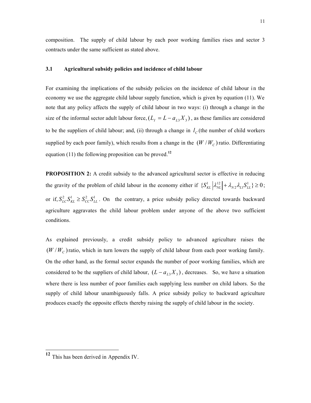composition. The supply of child labour by each poor working families rises and sector 3 contracts under the same sufficient as stated above.

#### **3.1 Agricultural subsidy policies and incidence of child labour**

For examining the implications of the subsidy policies on the incidence of child labour in the economy we use the aggregate child labour supply function, which is given by equation (11). We note that any policy affects the supply of child labour in two ways: (i) through a change in the size of the informal sector adult labour force,  $(L_I = L - a_{I3}X_3)$ , as these families are considered to be the suppliers of child labour; and, (ii) through a change in  $l_c$  (the number of child workers supplied by each poor family), which results from a change in the  $(W/W_C)$  ratio. Differentiating equation (11) the following proposition can be proved.**<sup>12</sup>**

**PROPOSITION 2:** A credit subsidy to the advanced agricultural sector is effective in reducing the gravity of the problem of child labour in the economy either if  $\{S_{KL}^1 | \lambda_{NL}^{12} | + \lambda_{N2} \lambda_{L1} S_{LL}^1\} \ge 0$ ; or if,  $S_{LC}^2 S_{KL}^1 \geq S_{CC}^2 S_{LL}^1$ . On the contrary, a price subsidy policy directed towards backward agriculture aggravates the child labour problem under anyone of the above two sufficient conditions.

As explained previously, a credit subsidy policy to advanced agriculture raises the  $(W/W_c)$  ratio, which in turn lowers the supply of child labour from each poor working family. On the other hand, as the formal sector expands the number of poor working families, which are considered to be the suppliers of child labour,  $(L - a_{L3}X_3)$ , decreases. So, we have a situation where there is less number of poor families each supplying less number on child labors. So the supply of child labour unambiguously falls. A price subsidy policy to backward agriculture produces exactly the opposite effects thereby raising the supply of child labour in the society.

**<sup>12</sup>** This has been derived in Appendix IV.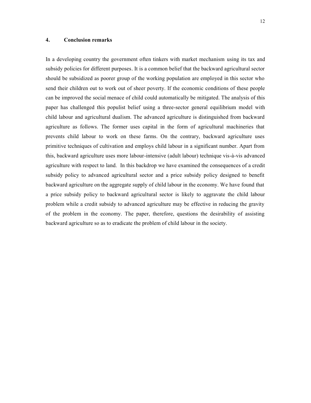## **4. Conclusion remarks**

In a developing country the government often tinkers with market mechanism using its tax and subsidy policies for different purposes. It is a common belief that the backward agricultural sector should be subsidized as poorer group of the working population are employed in this sector who send their children out to work out of sheer poverty. If the economic conditions of these people can be improved the social menace of child could automatically be mitigated. The analysis of this paper has challenged this populist belief using a three-sector general equilibrium model with child labour and agricultural dualism. The advanced agriculture is distinguished from backward agriculture as follows. The former uses capital in the form of agricultural machineries that prevents child labour to work on these farms. On the contrary, backward agriculture uses primitive techniques of cultivation and employs child labour in a significant number. Apart from this, backward agriculture uses more labour-intensive (adult labour) technique vis-à-vis advanced agriculture with respect to land. In this backdrop we have examined the consequences of a credit subsidy policy to advanced agricultural sector and a price subsidy policy designed to benefit backward agriculture on the aggregate supply of child labour in the economy. We have found that a price subsidy policy to backward agricultural sector is likely to aggravate the child labour problem while a credit subsidy to advanced agriculture may be effective in reducing the gravity of the problem in the economy. The paper, therefore, questions the desirability of assisting backward agriculture so as to eradicate the problem of child labour in the society.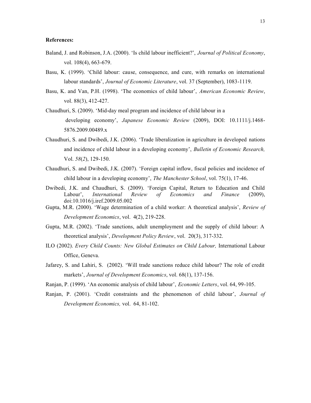#### **References:**

- Baland, J. and Robinson, J.A. (2000). 'Is child labour inefficient?', *Journal of Political Economy*, vol. 108(4), 663-679.
- Basu, K. (1999). 'Child labour: cause, consequence, and cure, with remarks on international labour standards', *Journal of Economic Literature*, vol. 37 (September), 1083-1119.
- Basu, K. and Van, P.H. (1998). 'The economics of child labour', *American Economic Review*, vol. 88(3), 412-427.
- Chaudhuri, S. (2009). 'Mid-day meal program and incidence of child labour in a developing economy', *Japanese Economic Review* (2009), DOI: 10.1111/j.1468- 5876.2009.00489.x
- Chaudhuri, S. and Dwibedi, J.K. (2006). 'Trade liberalization in agriculture in developed nations and incidence of child labour in a developing economy', *Bulletin of Economic Research,*  Vol. *58*(*2*), 129-150.
- Chaudhuri, S. and Dwibedi, J.K. (2007). 'Foreign capital inflow, fiscal policies and incidence of child labour in a developing economy', *The Manchester School*, vol. 75(1), 17-46.
- Dwibedi, J.K. and Chaudhuri, S. (2009). 'Foreign Capital, Return to Education and Child Labour', *International Review of Economics and Finance* (2009), doi:10.1016/j.iref.2009.05.002
- Gupta, M.R. (2000). 'Wage determination of a child worker: A theoretical analysis', *Review of Development Economics*, vol. 4(2), 219-228.
- Gupta, M.R. (2002). 'Trade sanctions, adult unemployment and the supply of child labour: A theoretical analysis', *Development Policy Review*, vol. 20(3), 317-332.
- ILO (2002). *Every Child Counts: New Global Estimates on Child Labour,* International Labour Office, Geneva.
- Jafarey, S. and Lahiri, S. (2002). 'Will trade sanctions reduce child labour? The role of credit markets', *Journal of Development Economics*, vol. 68(1), 137-156.
- Ranjan, P. (1999). 'An economic analysis of child labour', *Economic Letters*, vol. 64, 99-105.
- Ranjan, P. (2001). 'Credit constraints and the phenomenon of child labour', *Journal of Development Economics,* vol. 64, 81-102.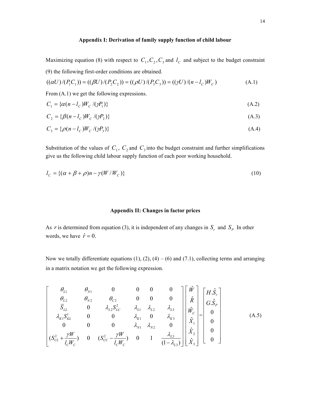## **Appendix I: Derivation of family supply function of child labour**

Maximizing equation (8) with respect to  $C_1$ ,  $C_2$ ,  $C_3$  and  $l_c$  and subject to the budget constraint (9) the following first-order conditions are obtained.

$$
((\alpha U)/(P_1 C_1)) = ((\beta U)/(P_2 C_2)) = ((\rho U)/(P_3 C_3)) = ((\gamma U)/(n - l_C)W_C)
$$
\n(A.1)

From (A.1) we get the following expressions.

$$
C_1 = \{ \alpha(n - l_C) W_C / (\gamma P_1) \} \tag{A.2}
$$

$$
C_2 = \{\beta(n - l_c)W_c / (\gamma P_2)\}\tag{A.3}
$$

$$
C_3 = \{ \rho(n - l_C) W_C / (\gamma P_3) \}
$$
\n
$$
(A.4)
$$

Substitution of the values of  $C_1$ ,  $C_2$  and  $C_3$  into the budget constraint and further simplifications give us the following child labour supply function of each poor working household.

$$
l_C = \{ (\alpha + \beta + \rho)n - \gamma(W/W_C) \} \tag{10}
$$

## **Appendix II: Changes in factor prices**

As *r* is determined from equation (3), it is independent of any changes in  $S_r$  and  $S_p$ . In other words, we have  $\hat{r} = 0$ .

Now we totally differentiate equations  $(1)$ ,  $(2)$ ,  $(4)$  –  $(6)$  and  $(7.1)$ , collecting terms and arranging in a matrix notation we get the following expression.

$$
\begin{bmatrix}\n\theta_{L1} & \theta_{N1} & 0 & 0 & 0 & 0 \\
\theta_{L2} & \theta_{N2} & \theta_{C2} & 0 & 0 & 0 \\
\overline{S}_{LL} & 0 & \lambda_{L2}S_{LC}^2 & \lambda_{L1} & \lambda_{L2} & \lambda_{L3} \\
\lambda_{K1}S_{KL}^1 & 0 & 0 & \lambda_{K1} & 0 & \lambda_{K3} \\
0 & 0 & 0 & \lambda_{N1} & \lambda_{N2} & 0 \\
(S_{CL}^2 + \frac{\gamma W}{l_C W_C}) & 0 & (S_{CC}^2 - \frac{\gamma W}{l_C W_C}) & 0 & 1 & \frac{\lambda_{L3}}{(1 - \lambda_{L3})}\n\end{bmatrix}\n\begin{bmatrix}\n\hat{W} \\
\hat{R} \\
\hat{R} \\
\hat{W}_C \\
\hat{X}_1 \\
\hat{X}_2 \\
\hat{X}_3\n\end{bmatrix} = \n\begin{bmatrix}\nH.\hat{S}_r \\
G.\hat{S}_p \\
0 \\
0 \\
0 \\
0\n\end{bmatrix}
$$
\n(A.5)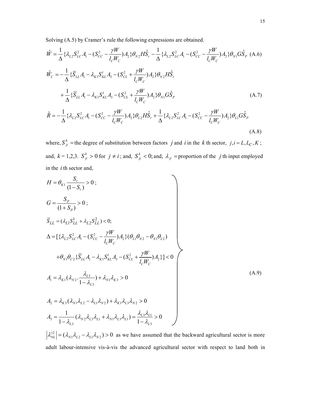Solving (A.5) by Cramer's rule the following expressions are obtained.

$$
\hat{W} = \frac{1}{\Delta} \{ \lambda_{L2} S_{LC}^2 A_1 - (S_{CC}^2 - \frac{\gamma W}{l_C W_C}) A_2 \} \theta_{N2} H \hat{S}_r - \frac{1}{\Delta} \{ \lambda_{L2} S_{LC}^2 A_1 - (S_{CC}^2 - \frac{\gamma W}{l_C W_C}) A_2 \} \theta_{N1} G \hat{S}_P \text{ (A.6)}
$$
\n
$$
\hat{W}_C = -\frac{1}{\Delta} \{ \overline{S}_{LL} A_1 - \lambda_{K1} S_{KL}^1 A_3 - (S_{CL}^2 + \frac{\gamma W}{l_C W_C}) A_2 \} \theta_{N2} H \hat{S}_r
$$
\n
$$
+ \frac{1}{\Delta} \{ \overline{S}_{LL} A_1 - \lambda_{K1} S_{KL}^1 A_3 - (S_{CL}^2 + \frac{\gamma W}{l_C W_C}) A_2 \} \theta_{N1} G \hat{S}_P
$$
\n
$$
\hat{R} = -\frac{1}{\Delta} \{ \lambda_{L2} S_{LC}^2 A_1 - (S_{CC}^2 - \frac{\gamma W}{l_C W_C}) A_2 \} \theta_{L2} H \hat{S}_r + \frac{1}{\Delta} \{ \lambda_{L2} S_{LC}^2 A_1 - (S_{CC}^2 - \frac{\gamma W}{l_C W_C}) A_2 \} \theta_{L1} G \hat{S}_P
$$
\n(A.8)

where,  $S_{ji}^k$  = the degree of substitution between factors *j* and *i* in the *k* th sector, *j*,*i* = *L*, *L*<sub>C</sub>, *K*; and,  $k = 1,2,3$ .  $S_{ji}^k > 0$  for  $j \neq i$ ; and,  $S_{jj}^k < 0$ ; and,  $\lambda_{ji}$  = proportion of the *j* th input employed in the *i* th sector and,

$$
H = \theta_{K1} \frac{S_r}{(1 - S_r)} > 0 ;
$$
  
\n
$$
G = \frac{S_p}{(1 + S_p)} > 0 ;
$$
  
\n
$$
\overline{S}_{LL} = (\lambda_{L1} S_{LL}^1 + \lambda_{L2} S_{LL}^2) < 0 ;
$$
  
\n
$$
\Delta = [\{\lambda_{L2} S_{LC}^2 A_1 - (S_{CC}^2 - \frac{\gamma W}{l_C W_c}) A_2\} (\theta_{L1} \theta_{N2} - \theta_{N1} \theta_{L2})
$$
  
\n
$$
+ \theta_{N1} \theta_{C2} \{\overline{S}_{LL} A_1 - \lambda_{K1} S_{KL}^1 A_3 - (S_{CL}^2 + \frac{\gamma W}{l_C W_c}) A_2\}] < 0
$$
  
\n
$$
A_1 = \lambda_{K1} (\lambda_{N2} \cdot \frac{\lambda_{L3}}{1 - \lambda_{L3}}) + \lambda_{N1} \lambda_{K3} > 0
$$
  
\n
$$
A_2 = \lambda_{K3} (\lambda_{N1} \lambda_{L2} - \lambda_{L1} \lambda_{N2}) + \lambda_{K1} \lambda_{L3} \lambda_{N2} > 0
$$
  
\n
$$
A_3 = \frac{1}{1 - \lambda_{L3}} (\lambda_{N2} \lambda_{L3} \lambda_{L1} + \lambda_{N1} \lambda_{L3} \lambda_{L1}) = \frac{\lambda_{L3} \lambda_{L1}}{1 - \lambda_{L3}} > 0
$$

 $\lambda_{NL}^{12} = (\lambda_{N1}\lambda_{L2} - \lambda_{L1}\lambda_{N2}) > 0$  as we have assumed that the backward agricultural sector is more adult labour-intensive vis-à-vis the advanced agricultural sector with respect to land both in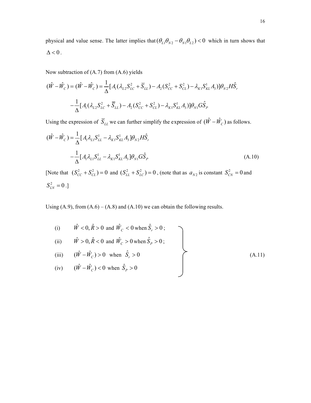physical and value sense. The latter implies that  $(\theta_{L1} \theta_{N2} - \theta_{N1} \theta_{L2}) < 0$  which in turn shows that  $\Delta < 0$  .

Now subtraction of (A.7) from (A.6) yields

$$
(\hat{W} - \hat{W}_C) = (\hat{W} - \hat{W}_C) = \frac{1}{\Delta} [A_1(\lambda_{L2} S_{LC}^2 + \overline{S}_{LL}) - A_2(S_{CC}^2 + S_{CL}^2) - \lambda_{K1} S_{KL}^1 A_3)] \theta_{N2} H \hat{S}_r
$$

$$
-\frac{1}{\Delta} [A_1(\lambda_{L2} S_{LC}^2 + \overline{S}_{LL}) - A_2(S_{CC}^2 + S_{CL}^2) - \lambda_{K1} S_{KL}^1 A_3)] \theta_{N1} G \hat{S}_P
$$

Using the expression of  $\overline{S}_{LL}$  we can further simplify the expression of  $(\hat{W} - \hat{W}_C)$  as follows.

$$
(\hat{W} - \hat{W}_C) = \frac{1}{\Delta} [A_1 \lambda_{L1} S_{LL}^1 - \lambda_{K1} S_{KL}^1 A_3] \theta_{N2} H \hat{S}_r
$$
  

$$
- \frac{1}{\Delta} [A_1 \lambda_{L1} S_{LL}^1 - \lambda_{K1} S_{KL}^1 A_3] \theta_{N1} G \hat{S}_p
$$
(A.10)

[Note that  $(S_{CC}^2 + S_{CL}^2) = 0$  and  $(S_{LL}^2 + S_{LC}^2) = 0$ , (note that as  $a_{N2}$  is constant  $S_{CN}^2 = 0$  and  $S_{LN}^2 = 0.$ ]

Using  $(A.9)$ , from  $(A.6) - (A.8)$  and  $(A.10)$  we can obtain the following results.

(i) 
$$
\hat{W} < 0, \hat{R} > 0
$$
 and  $\hat{W}_C < 0$  when  $\hat{S}_r > 0$ ;  
\n(ii)  $\hat{W} > 0, \hat{R} < 0$  and  $\hat{W}_C > 0$  when  $\hat{S}_p > 0$ ;  
\n(iii)  $(\hat{W} - \hat{W}_C) > 0$  when  $\hat{S}_r > 0$   
\n(iv)  $(\hat{W} - \hat{W}_C) < 0$  when  $\hat{S}_p > 0$  (A.11)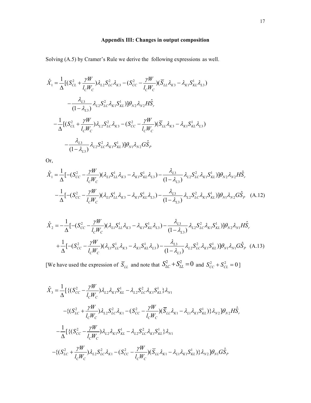# **Appendix III: Changes in output composition**

Solving (A.5) by Cramer's Rule we derive the following expressions as well.

$$
\hat{X}_{1} = \frac{1}{\Delta} [ (S_{CL}^{2} + \frac{\gamma W}{l_{C}W_{C}}) \lambda_{L2} S_{LC}^{2} \lambda_{K3} - (S_{CC}^{2} - \frac{\gamma W}{l_{C}W_{C}}) (\overline{S}_{LL} \lambda_{K3} - \lambda_{K1} S_{KL}^{1} \lambda_{L3})
$$
\n
$$
- \frac{\lambda_{L3}}{(1 - \lambda_{L3})} \lambda_{L2} S_{LC}^{2} \lambda_{K1} S_{KL}^{1}) ] \theta_{N2} \lambda_{N2} H \hat{S}_{r}
$$
\n
$$
- \frac{1}{\Delta} [ (S_{CL}^{2} + \frac{\gamma W}{l_{C}W_{C}}) \lambda_{L2} S_{LC}^{2} \lambda_{K3} - (S_{CC}^{2} - \frac{\gamma W}{l_{C}W_{C}}) (\overline{S}_{LL} \lambda_{K3} - \lambda_{K1} S_{KL}^{1} \lambda_{L3})
$$
\n
$$
- \frac{\lambda_{L3}}{(1 - \lambda_{L3})} \lambda_{L2} S_{LC}^{2} \lambda_{K1} S_{KL}^{1}) ] \theta_{N1} \lambda_{N2} G \hat{S}_{P}
$$

Or,

$$
\hat{X}_1 = \frac{1}{\Delta} [-(S_{CC}^2 - \frac{\gamma W}{l_C W_C})(\lambda_{L1} S_{LL}^1 \lambda_{K3} - \lambda_{K1} S_{KL}^1 \lambda_{L3}) - \frac{\lambda_{L3}}{(1 - \lambda_{L3})} \lambda_{L2} S_{LC}^2 \lambda_{K1} S_{KL}^1)] \theta_{N2} \lambda_{N2} H \hat{S}_r
$$
  
 
$$
-\frac{1}{\Delta} [-(S_{CC}^2 - \frac{\gamma W}{l_C W_C})(\lambda_{L1} S_{LL}^1 \lambda_{K3} - \lambda_{K1} S_{KL}^1 \lambda_{L3}) - \frac{\lambda_{L3}}{(1 - \lambda_{L3})} \lambda_{L2} S_{LC}^2 \lambda_{K1} S_{KL}^1)] \theta_{N1} \lambda_{N2} G \hat{S}_P \quad (A.12)
$$

$$
\hat{X}_{2} = -\frac{1}{\Delta} [-(S_{CC}^{2} - \frac{\gamma W}{l_{C}W_{C}})(\lambda_{L1}S_{LL}^{1}\lambda_{K3} - \lambda_{K1}S_{KL}^{1}\lambda_{L3}) - \frac{\lambda_{L3}}{(1-\lambda_{L3})}\lambda_{L2}S_{LC}^{2}\lambda_{K1}S_{KL}^{1}]]\theta_{N2}\lambda_{N1}H\hat{S}_{r} + \frac{1}{\Delta} [-(S_{CC}^{2} - \frac{\gamma W}{l_{C}W_{C}})(\lambda_{L1}S_{LL}^{1}\lambda_{K3} - \lambda_{K1}S_{KL}^{1}\lambda_{L3}) - \frac{\lambda_{L3}}{(1-\lambda_{L3})}\lambda_{L2}S_{LC}^{2}\lambda_{K1}S_{KL}^{1}]]\theta_{N1}\lambda_{N1}G\hat{S}_{P} \quad (A.13)
$$

[We have used the expression of  $\overline{S}_{LL}$  and note that  $S_{LC}^2 + S_{LL}^2 = 0$  and  $S_{CC}^2 + S_{CL}^2 = 0$ ]

$$
\hat{X}_{3} = \frac{1}{\Delta} \Big[ \{ (S_{CC}^{2} - \frac{\gamma W}{l_{C}W_{C}}) \lambda_{L2} \lambda_{K1} S_{KL}^{1} - \lambda_{L2} S_{LC}^{2} \lambda_{K1} S_{KL}^{1} \} \lambda_{N1} - \{ (S_{LC}^{2} + \frac{\gamma W}{l_{C}W_{C}}) \lambda_{L2} S_{LC}^{2} \lambda_{K1} - (S_{CC}^{2} - \frac{\gamma W}{l_{C}W_{C}}) (\overline{S}_{LL} \lambda_{K1} - \lambda_{L1} \lambda_{K1} S_{KL}^{1}) \} \lambda_{N2} \Big] \theta_{N2} H \hat{S}_{r} - \frac{1}{\Delta} \Big[ \{ (S_{CC}^{2} - \frac{\gamma W}{l_{C}W_{C}}) \lambda_{L2} \lambda_{K1} S_{KL}^{1} - \lambda_{L2} S_{LC}^{2} \lambda_{K1} S_{KL}^{1} \} \lambda_{N1} - \{ (S_{LC}^{2} + \frac{\gamma W}{l_{C}W_{C}}) \lambda_{L2} S_{LC}^{2} \lambda_{K1} - (S_{CC}^{2} - \frac{\gamma W}{l_{C}W_{C}}) (\overline{S}_{LL} \lambda_{K1} - \lambda_{L1} \lambda_{K1} S_{KL}^{1}) \} \lambda_{N2} \Big] \theta_{N1} G \hat{S}_{p}
$$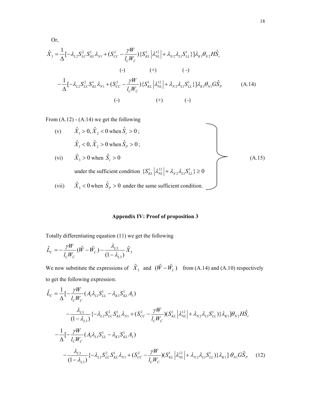Or,  
\n
$$
\hat{X}_{3} = \frac{1}{\Delta} [-\lambda_{L2} S_{LC}^{2} S_{KL}^{1} \lambda_{N1} + (S_{CC}^{2} - \frac{\gamma W}{l_{C}W_{C}}) \{S_{KL}^{1} | \lambda_{NL}^{12}| + \lambda_{N2} \lambda_{L1} S_{LL}^{1} \}]\lambda_{K1} \theta_{N2} H\hat{S}_{r}
$$
\n
$$
(\cdot) \qquad (+) \qquad (-)
$$
\n
$$
-\frac{1}{\Delta} [-\lambda_{L2} S_{LC}^{2} S_{KL}^{1} \lambda_{N1} + (S_{CC}^{2} - \frac{\gamma W}{l_{C}W_{C}}) \{S_{KL}^{1} | \lambda_{NL}^{12}| + \lambda_{N2} \lambda_{L1} S_{LL}^{1} \}]\lambda_{K1} \theta_{N1} G\hat{S}_{P}
$$
\n
$$
(\text{A.14})
$$
\n
$$
(\text{-}) \qquad (+) \qquad (-)
$$

From (A.12) - (A.14) we get the following

(v) 
$$
\hat{X}_1 > 0, \hat{X}_2 < 0
$$
 when  $\hat{S}_r > 0$ ;  
\n $\hat{X}_1 < 0, \hat{X}_2 > 0$  when  $\hat{S}_p > 0$ ;  
\n(vi)  $\hat{X}_3 > 0$  when  $\hat{S}_r > 0$   
\nunder the sufficient condition  $\{S_{KL}^1 | \lambda_{NL}^{12}| + \lambda_{N2} \lambda_{L1} S_{LL}^1\} \ge 0$   
\n(vii)  $\hat{X}_3 < 0$  when  $\hat{S}_p > 0$  under the same sufficient condition.

# **Appendix IV: Proof of proposition 3**

Totally differentiating equation (11) we get the following

$$
\hat{L}_C = -\frac{\gamma W}{l_C W_C} (\hat{W} - \hat{W}_C) - \frac{\lambda_{L3}}{(1 - \lambda_{L3})} \hat{X}_3
$$

We now substitute the expressions of  $\hat{X}_3$  and  $(\hat{W} - \hat{W}_c)$  from (A.14) and (A.10) respectively to get the following expression.

$$
\hat{L}_{C} = \frac{1}{\Delta} \left[ -\frac{\gamma W}{l_{C}W_{C}} \left( A_{1} \lambda_{L1} S_{LL}^{1} - \lambda_{K1} S_{KL}^{1} A_{3} \right) \right. \\
\left. - \frac{\lambda_{L3}}{(1 - \lambda_{L3})} \left\{ -\lambda_{L2} S_{LC}^{2} S_{KL}^{1} \lambda_{N1} + (S_{CC}^{2} - \frac{\gamma W}{l_{C}W_{C}}) (S_{KL}^{1} | \lambda_{NL}^{12} | + \lambda_{N2} \lambda_{L1} S_{LL}^{1}) \right\} \lambda_{K1} \right] \theta_{N2} H \hat{S}_{r} \\
- \frac{1}{\Delta} \left[ -\frac{\gamma W}{l_{C}W_{C}} \left( A_{1} \lambda_{L1} S_{LL}^{1} - \lambda_{K1} S_{KL}^{1} A_{3} \right) \right. \\
\left. - \frac{\lambda_{L3}}{(1 - \lambda_{L3})} \left\{ -\lambda_{L2} S_{LC}^{2} S_{KL}^{1} \lambda_{N1} + (S_{CC}^{2} - \frac{\gamma W}{l_{C}W_{C}}) (S_{KL}^{1} | \lambda_{NL}^{12} | + \lambda_{N2} \lambda_{L1} S_{LL}^{1}) \right\} \lambda_{K1} \right] \theta_{N1} G \hat{S}_{P} \tag{12}
$$